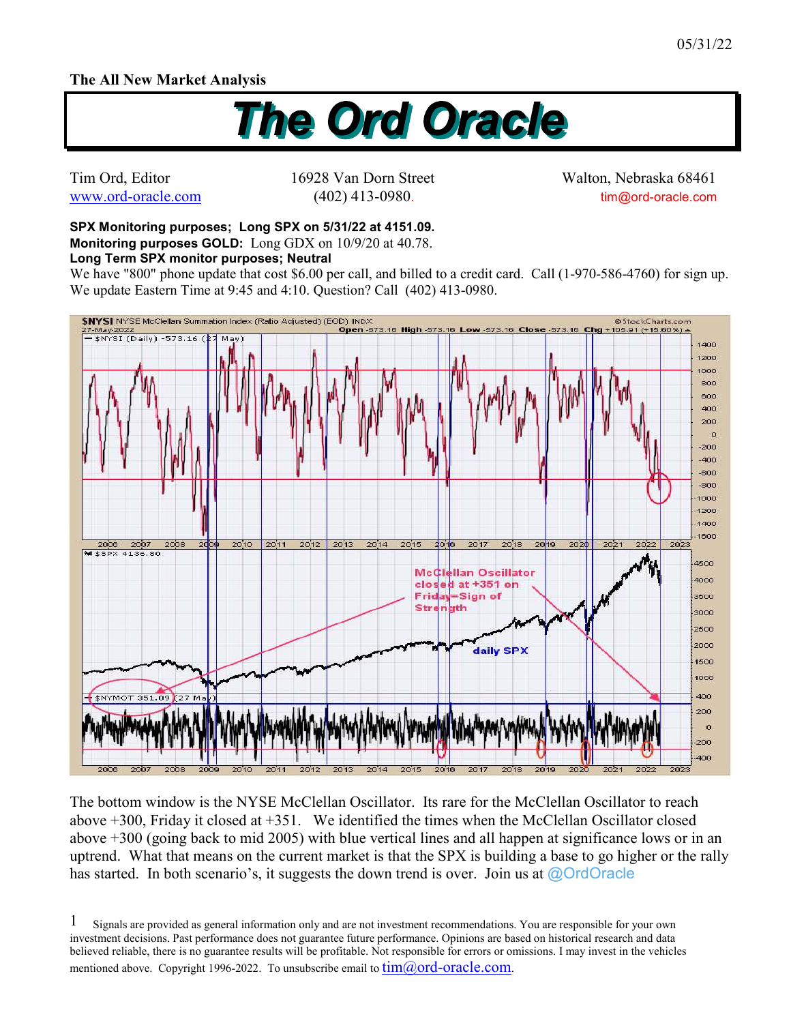## **The All New Market Analysis**



Tim Ord, Editor 16928 Van Dorn Street Walton, Nebraska 68461 www.ord-oracle.com (402) 413-0980. tim@ord-oracle.com

**SPX Monitoring purposes; Long SPX on 5/31/22 at 4151.09. Monitoring purposes GOLD:** Long GDX on 10/9/20 at 40.78.

## **Long Term SPX monitor purposes; Neutral**

We have "800" phone update that cost \$6.00 per call, and billed to a credit card. Call (1-970-586-4760) for sign up. We update Eastern Time at 9:45 and 4:10. Question? Call (402) 413-0980.



The bottom window is the NYSE McClellan Oscillator. Its rare for the McClellan Oscillator to reach above +300, Friday it closed at +351. We identified the times when the McClellan Oscillator closed above +300 (going back to mid 2005) with blue vertical lines and all happen at significance lows or in an uptrend. What that means on the current market is that the SPX is building a base to go higher or the rally has started. In both scenario's, it suggests the down trend is over. Join us at @OrdOracle

Signals are provided as general information only and are not investment recommendations. You are responsible for your own investment decisions. Past performance does not guarantee future performance. Opinions are based on historical research and data believed reliable, there is no guarantee results will be profitable. Not responsible for errors or omissions. I may invest in the vehicles mentioned above. Copyright 1996-2022. To unsubscribe email to  $tim@ord-oracle.com$ . 1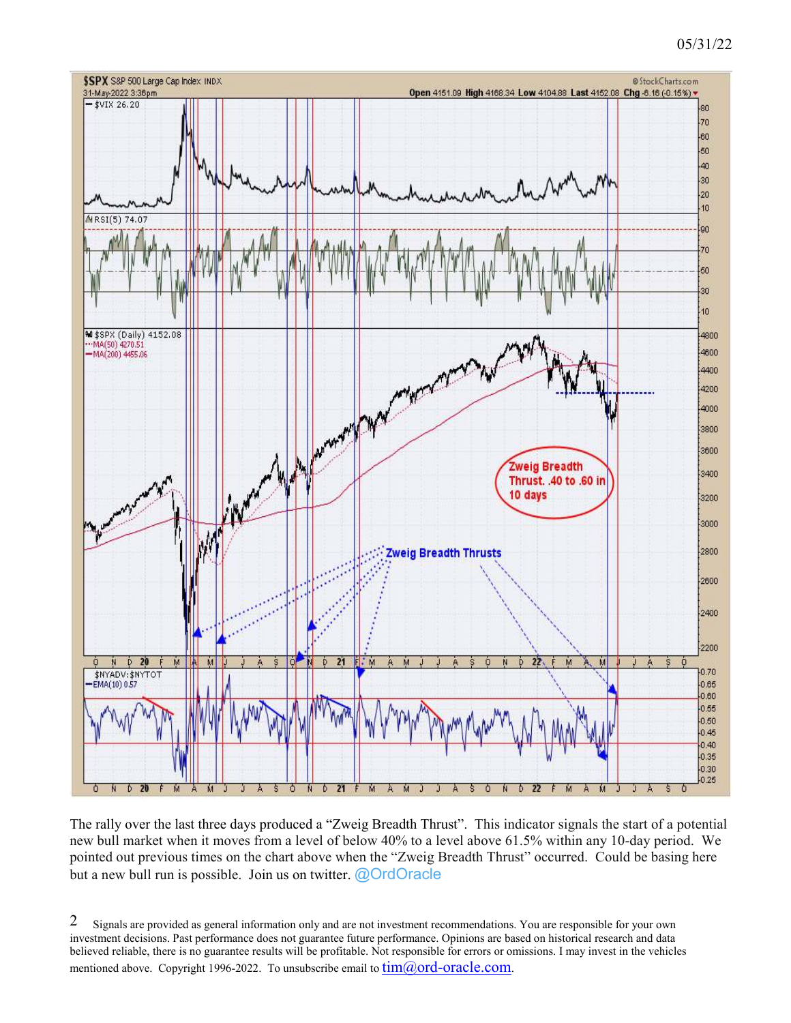## 05/31/22



The rally over the last three days produced a "Zweig Breadth Thrust". This indicator signals the start of a potential new bull market when it moves from a level of below 40% to a level above 61.5% within any 10-day period. We pointed out previous times on the chart above when the "Zweig Breadth Thrust" occurred. Could be basing here but a new bull run is possible. Join us on twitter. @OrdOracle

Signals are provided as general information only and are not investment recommendations. You are responsible for your own investment decisions. Past performance does not guarantee future performance. Opinions are based on historical research and data believed reliable, there is no guarantee results will be profitable. Not responsible for errors or omissions. I may invest in the vehicles mentioned above. Copyright 1996-2022. To unsubscribe email to  $\lim(\partial_{\Omega} \text{ord-oracle.com})$ . 2